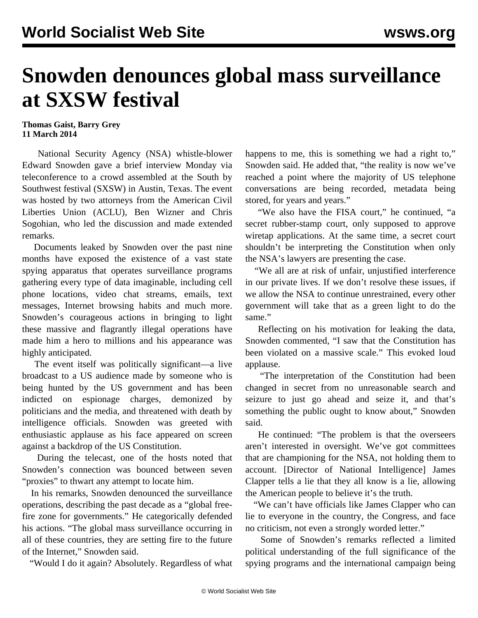## **Snowden denounces global mass surveillance at SXSW festival**

## **Thomas Gaist, Barry Grey 11 March 2014**

 National Security Agency (NSA) whistle-blower Edward Snowden gave a brief interview Monday via teleconference to a crowd assembled at the South by Southwest festival (SXSW) in Austin, Texas. The event was hosted by two attorneys from the American Civil Liberties Union (ACLU), Ben Wizner and Chris Sogohian, who led the discussion and made extended remarks.

 Documents leaked by Snowden over the past nine months have exposed the existence of a vast state spying apparatus that operates surveillance programs gathering every type of data imaginable, including cell phone locations, video chat streams, emails, text messages, Internet browsing habits and much more. Snowden's courageous actions in bringing to light these massive and flagrantly illegal operations have made him a hero to millions and his appearance was highly anticipated.

 The event itself was politically significant—a live broadcast to a US audience made by someone who is being hunted by the US government and has been indicted on espionage charges, demonized by politicians and the media, and threatened with death by intelligence officials. Snowden was greeted with enthusiastic applause as his face appeared on screen against a backdrop of the US Constitution.

 During the telecast, one of the hosts noted that Snowden's connection was bounced between seven "proxies" to thwart any attempt to locate him.

 In his remarks, Snowden denounced the surveillance operations, describing the past decade as a "global freefire zone for governments." He categorically defended his actions. "The global mass surveillance occurring in all of these countries, they are setting fire to the future of the Internet," Snowden said.

"Would I do it again? Absolutely. Regardless of what

happens to me, this is something we had a right to," Snowden said. He added that, "the reality is now we've reached a point where the majority of US telephone conversations are being recorded, metadata being stored, for years and years."

 "We also have the FISA court," he continued, "a secret rubber-stamp court, only supposed to approve wiretap applications. At the same time, a secret court shouldn't be interpreting the Constitution when only the NSA's lawyers are presenting the case.

 "We all are at risk of unfair, unjustified interference in our private lives. If we don't resolve these issues, if we allow the NSA to continue unrestrained, every other government will take that as a green light to do the same."

 Reflecting on his motivation for leaking the data, Snowden commented, "I saw that the Constitution has been violated on a massive scale." This evoked loud applause.

 "The interpretation of the Constitution had been changed in secret from no unreasonable search and seizure to just go ahead and seize it, and that's something the public ought to know about," Snowden said.

 He continued: "The problem is that the overseers aren't interested in oversight. We've got committees that are championing for the NSA, not holding them to account. [Director of National Intelligence] James Clapper tells a lie that they all know is a lie, allowing the American people to believe it's the truth.

 "We can't have officials like James Clapper who can lie to everyone in the country, the Congress, and face no criticism, not even a strongly worded letter."

 Some of Snowden's remarks reflected a limited political understanding of the full significance of the spying programs and the international campaign being